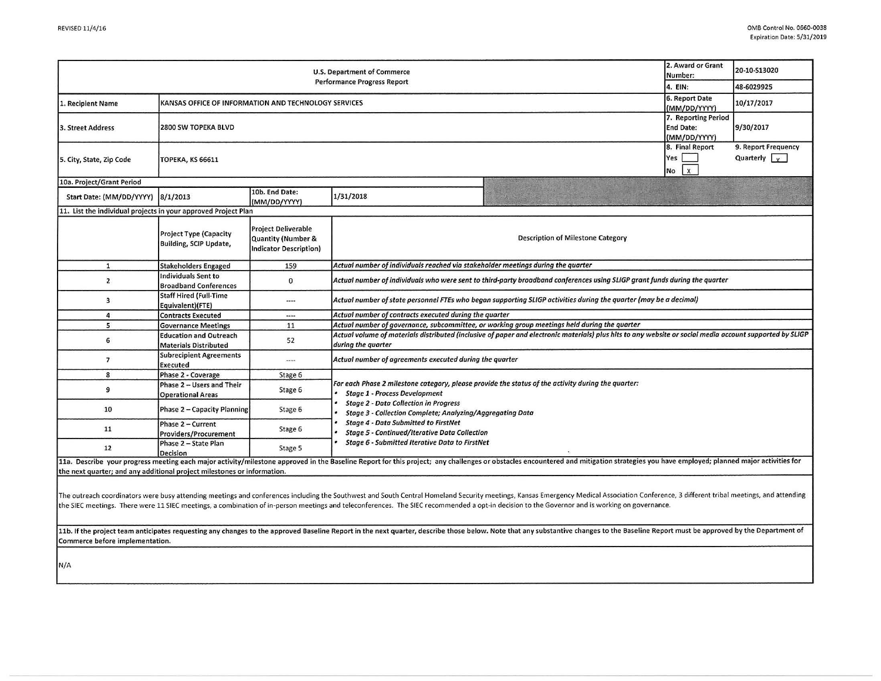|                                                                           |                                                                |                                                                            | U.S. Department of Commerce<br><b>Performance Progress Report</b>                                                                                                                                                |                                                                                                                                                                                                                                                                                                                                                                                                                                 | 2. Award or Grant<br>Number:                            | 20-10-S13020                                |  |  |
|---------------------------------------------------------------------------|----------------------------------------------------------------|----------------------------------------------------------------------------|------------------------------------------------------------------------------------------------------------------------------------------------------------------------------------------------------------------|---------------------------------------------------------------------------------------------------------------------------------------------------------------------------------------------------------------------------------------------------------------------------------------------------------------------------------------------------------------------------------------------------------------------------------|---------------------------------------------------------|---------------------------------------------|--|--|
|                                                                           |                                                                |                                                                            | 4. EIN:                                                                                                                                                                                                          | 48-6029925                                                                                                                                                                                                                                                                                                                                                                                                                      |                                                         |                                             |  |  |
| KANSAS OFFICE OF INFORMATION AND TECHNOLOGY SERVICES<br>1. Recipient Name |                                                                |                                                                            |                                                                                                                                                                                                                  |                                                                                                                                                                                                                                                                                                                                                                                                                                 | 6. Report Date<br>(MM/DD/YYYY)                          | 10/17/2017                                  |  |  |
| 3. Street Address                                                         | 2800 SW TOPEKA BLVD                                            |                                                                            |                                                                                                                                                                                                                  |                                                                                                                                                                                                                                                                                                                                                                                                                                 | 7. Reporting Period<br><b>End Date:</b><br>(MM/DD/YYYY) | 9/30/2017                                   |  |  |
| 5. City, State, Zip Code                                                  | <b>ТОРЕКА, КЅ 66611</b>                                        |                                                                            |                                                                                                                                                                                                                  |                                                                                                                                                                                                                                                                                                                                                                                                                                 | 8. Final Report<br>Yes<br>$No$ $x$                      | 9. Report Frequency<br>Quarterly $\sqrt{v}$ |  |  |
| 10a. Project/Grant Period                                                 |                                                                |                                                                            |                                                                                                                                                                                                                  |                                                                                                                                                                                                                                                                                                                                                                                                                                 |                                                         |                                             |  |  |
| Start Date: (MM/DD/YYYY) 8/1/2013                                         |                                                                | 10b. End Date:<br>(MM/DD/YYYY)                                             | 1/31/2018                                                                                                                                                                                                        |                                                                                                                                                                                                                                                                                                                                                                                                                                 |                                                         |                                             |  |  |
| 11. List the individual projects in your approved Project Plan            |                                                                |                                                                            |                                                                                                                                                                                                                  |                                                                                                                                                                                                                                                                                                                                                                                                                                 |                                                         |                                             |  |  |
|                                                                           | <b>Project Type (Capacity</b><br><b>Building, SCIP Update,</b> | <b>Project Deliverable</b><br>Quantity (Number &<br>Indicator Description) |                                                                                                                                                                                                                  | Description of Milestone Category                                                                                                                                                                                                                                                                                                                                                                                               |                                                         |                                             |  |  |
| $\mathbf{1}$                                                              | <b>Stakeholders Engaged</b>                                    | 159                                                                        | Actual number of individuals reached via stakeholder meetings during the quarter                                                                                                                                 |                                                                                                                                                                                                                                                                                                                                                                                                                                 |                                                         |                                             |  |  |
| $\overline{2}$                                                            | Individuals Sent to<br><b>Broadband Conferences</b>            | 0                                                                          | Actual number of individuals who were sent to third-party broadband conferences using SLIGP grant funds during the quarter                                                                                       |                                                                                                                                                                                                                                                                                                                                                                                                                                 |                                                         |                                             |  |  |
| 3                                                                         | <b>Staff Hired (Full-Time</b><br>Equivalent)(FTE)              | ----                                                                       | Actual number of state personnel FTEs who began supporting SLIGP activities during the quarter (may be a decimal)                                                                                                |                                                                                                                                                                                                                                                                                                                                                                                                                                 |                                                         |                                             |  |  |
| $\overline{a}$                                                            | <b>Contracts Executed</b>                                      | $\cdots$                                                                   | Actual number of contracts executed during the quarter                                                                                                                                                           |                                                                                                                                                                                                                                                                                                                                                                                                                                 |                                                         |                                             |  |  |
| 5                                                                         | <b>Governance Meetings</b>                                     | 11                                                                         | Actual number of governance, subcommittee, or working group meetings held during the quarter                                                                                                                     |                                                                                                                                                                                                                                                                                                                                                                                                                                 |                                                         |                                             |  |  |
| 6                                                                         | <b>Education and Outreach</b><br><b>Materials Distributed</b>  | 52                                                                         | Actual volume of materials distributed (inclusive of paper and electronic materials) plus hits to any website or social media account supported by SLIGP<br>during the quarter                                   |                                                                                                                                                                                                                                                                                                                                                                                                                                 |                                                         |                                             |  |  |
| $\overline{7}$                                                            | <b>Subrecipient Agreements</b><br>Executed                     | $***$                                                                      | Actual number of agreements executed during the quarter                                                                                                                                                          |                                                                                                                                                                                                                                                                                                                                                                                                                                 |                                                         |                                             |  |  |
| 8                                                                         | Phase 2 - Coverage                                             | Stage 6                                                                    |                                                                                                                                                                                                                  |                                                                                                                                                                                                                                                                                                                                                                                                                                 |                                                         |                                             |  |  |
| 9                                                                         | Phase 2 - Users and Their<br><b>Operational Areas</b>          | Stage 6                                                                    | <b>Stage 1 - Process Development</b>                                                                                                                                                                             | For each Phase 2 milestone category, please provide the status of the activity during the quarter:                                                                                                                                                                                                                                                                                                                              |                                                         |                                             |  |  |
| 10                                                                        | Phase 2 - Capacity Planning                                    | Stage 6                                                                    | <b>Stage 2 - Data Collection in Progress</b><br>Stage 3 - Collection Complete; Analyzing/Aggregating Data<br><b>Stage 4 - Data Submitted to FirstNet</b><br><b>Stage 5 - Continued/Iterative Data Collection</b> |                                                                                                                                                                                                                                                                                                                                                                                                                                 |                                                         |                                             |  |  |
| 11                                                                        | Phase 2 - Current<br>Providers/Procurement                     | Stage 6                                                                    |                                                                                                                                                                                                                  |                                                                                                                                                                                                                                                                                                                                                                                                                                 |                                                         |                                             |  |  |
| 12                                                                        | Phase 2 - State Plan<br><b>Decision</b>                        | Stage 5                                                                    | <b>Stage 6 - Submitted Iterative Data to FirstNet</b>                                                                                                                                                            |                                                                                                                                                                                                                                                                                                                                                                                                                                 |                                                         |                                             |  |  |
| the next quarter; and any additional project milestones or information.   |                                                                |                                                                            |                                                                                                                                                                                                                  | 11a. Describe your progress meeting each major activity/milestone approved in the Baseline Report for this project; any challenges or obstacles encountered and mitigation strategies you have employed; planned major activit                                                                                                                                                                                                  |                                                         |                                             |  |  |
|                                                                           |                                                                |                                                                            |                                                                                                                                                                                                                  | The outreach coordinators were busy attending meetings and conferences including the Southwest and South Central Homeland Security meetings, Kansas Emergency Medical Association Conference, 3 different tribal meetings, and<br>the SIEC meetings. There were 11 SIEC meetings, a combination of in-person meetings and teleconferences. The SIEC recommended a opt-in decision to the Governor and is working on governance. |                                                         |                                             |  |  |

11b. If the project team anticipates requesting any changes to the approved Baseline Report in the next quarter, describe those below. Note that any substantive changes to the Baseline Report must be approved by the Depart Commerce before implementation.

N/A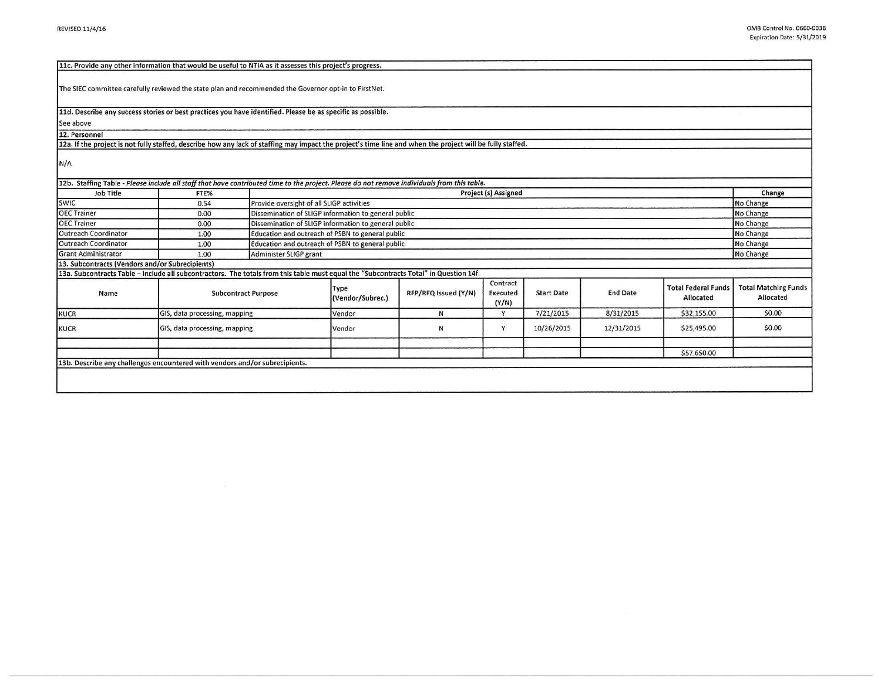| 11c. Provide any other information that would be useful to NTIA as it assesses this project's progress.                                                    |                               |                                                      |                                                                     |                      |                               |                   |                 |                                         |                                          |  |
|------------------------------------------------------------------------------------------------------------------------------------------------------------|-------------------------------|------------------------------------------------------|---------------------------------------------------------------------|----------------------|-------------------------------|-------------------|-----------------|-----------------------------------------|------------------------------------------|--|
| The SIEC committee carefully reviewed the state plan and recommended the Governor opt-in to FirstNet.                                                      |                               |                                                      |                                                                     |                      |                               |                   |                 |                                         |                                          |  |
| 11d. Describe any success stories or best practices you have identified. Please be as specific as possible.                                                |                               |                                                      |                                                                     |                      |                               |                   |                 |                                         |                                          |  |
| See above                                                                                                                                                  |                               |                                                      |                                                                     |                      |                               |                   |                 |                                         |                                          |  |
| 12. Personnel                                                                                                                                              |                               |                                                      |                                                                     |                      |                               |                   |                 |                                         |                                          |  |
| 12a. If the project is not fully staffed, describe how any lack of staffing may impact the project's time line and when the project will be fully staffed. |                               |                                                      |                                                                     |                      |                               |                   |                 |                                         |                                          |  |
| N/A                                                                                                                                                        |                               |                                                      |                                                                     |                      |                               |                   |                 |                                         |                                          |  |
| 12b. Staffing Table - Please include all staff that have contributed time to the project. Please do not remove individuals from this table.                |                               |                                                      |                                                                     |                      |                               |                   |                 |                                         |                                          |  |
| <b>Job Title</b>                                                                                                                                           | FTE%                          |                                                      | Project (s) Assigned<br>Change                                      |                      |                               |                   |                 |                                         |                                          |  |
| <b>SWIC</b>                                                                                                                                                | 0.54                          |                                                      | Provide oversight of all SLIGP activities<br>No Change<br>No Change |                      |                               |                   |                 |                                         |                                          |  |
| <b>OEC Trainer</b>                                                                                                                                         | 0.00                          |                                                      | Dissemination of SLIGP information to general public                |                      |                               |                   |                 |                                         |                                          |  |
| <b>OEC Trainer</b>                                                                                                                                         | 0.00                          | Dissemination of SLIGP information to general public |                                                                     |                      |                               |                   |                 |                                         | No Change                                |  |
| Outreach Coordinator                                                                                                                                       | 1.00                          |                                                      | Education and outreach of PSBN to general public<br>No Change       |                      |                               |                   |                 |                                         |                                          |  |
| Outreach Coordinator                                                                                                                                       | 1.00                          |                                                      | Education and outreach of PSBN to general public                    |                      |                               |                   |                 |                                         |                                          |  |
| <b>Grant Administrator</b>                                                                                                                                 | 1.00                          | Administer SLIGP grant                               |                                                                     |                      |                               |                   |                 |                                         | No Change                                |  |
| 13. Subcontracts (Vendors and/or Subrecipients)                                                                                                            |                               |                                                      |                                                                     |                      |                               |                   |                 |                                         |                                          |  |
| 13a. Subcontracts Table - Include all subcontractors. The totals from this table must equal the "Subcontracts Total" in Question 14f.                      |                               |                                                      |                                                                     |                      |                               |                   |                 |                                         |                                          |  |
| Name                                                                                                                                                       | <b>Subcontract Purpose</b>    |                                                      | Type<br>(Vendor/Subrec.)                                            | RFP/RFQ Issued (Y/N) | Contract<br>Executed<br>(Y/N) | <b>Start Date</b> | <b>End Date</b> | <b>Total Federal Funds</b><br>Allocated | <b>Total Matching Funds</b><br>Allocated |  |
| <b>KUCR</b>                                                                                                                                                | GIS, data processing, mapping |                                                      | Vendor                                                              | N                    | Y                             | 7/21/2015         | 8/31/2015       | \$32,155.00                             | \$0.00                                   |  |
| <b>KUCR</b>                                                                                                                                                | GIS, data processing, mapping |                                                      | Vendor                                                              | N                    | Y                             | 10/26/2015        | 12/31/2015      | \$25,495.00                             | \$0.00                                   |  |
|                                                                                                                                                            |                               |                                                      |                                                                     |                      |                               |                   |                 |                                         |                                          |  |
|                                                                                                                                                            |                               |                                                      |                                                                     |                      |                               |                   |                 | \$57,650.00                             |                                          |  |
| 13b. Describe any challenges encountered with vendors and/or subrecipients.                                                                                |                               |                                                      |                                                                     |                      |                               |                   |                 |                                         |                                          |  |
|                                                                                                                                                            |                               |                                                      |                                                                     |                      |                               |                   |                 |                                         |                                          |  |